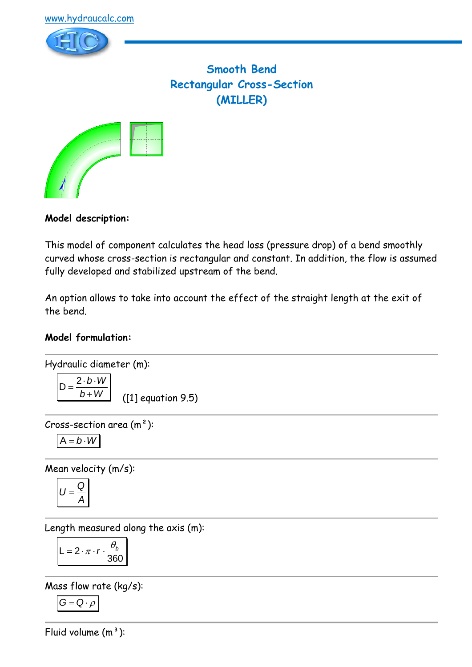

# **Smooth Bend Rectangular Cross-Section (MILLER)**



### **Model description:**

This model of component calculates the head loss (pressure drop) of a bend smoothly curved whose cross-section is rectangular and constant. In addition, the flow is assumed fully developed and stabilized upstream of the bend.

An option allows to take into account the effect of the straight length at the exit of the bend.

### **Model formulation:**

Hydraulic diameter (m):  

$$
\boxed{2 \cdot b \cdot W}
$$

*b W* + ([1] equation 9.5)

Cross-section area (m²):

$$
A=b\cdot W
$$

 $D =$ 

Mean velocity (m/s):

$$
U=\frac{Q}{A}
$$

Length measured along the axis (m):

$$
L = 2 \cdot \pi \cdot r \cdot \frac{\theta_b}{360}
$$

Mass flow rate (kg/s):

$$
G=Q\cdot \rho
$$

Fluid volume  $(m^3)$ :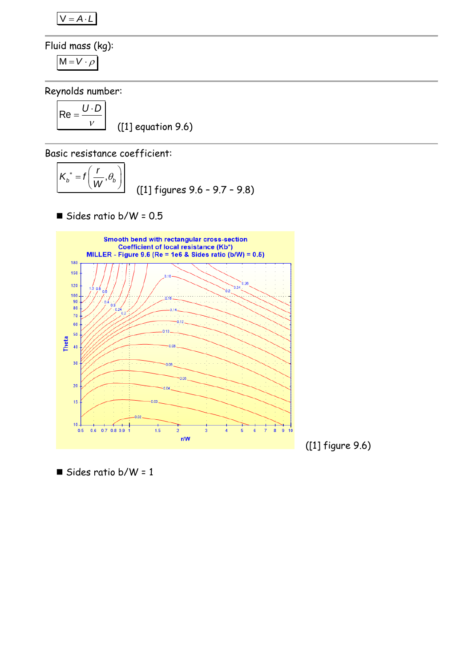$V = A \cdot L$ 

Fluid mass (kg):

$$
M=V\cdot \rho
$$

Reynolds number:

$$
Re = \frac{U \cdot D}{V}
$$
 ([1] equation 9.6)

Basic resistance coefficient:

$$
K_b^* = f\left(\frac{r}{W}, \theta_b\right)
$$
 (11) figures 9.6 - 9.7 - 9.8)

 $\blacksquare$  Sides ratio b/W = 0.5



([1] figure 9.6)

■ Sides ratio  $b/W = 1$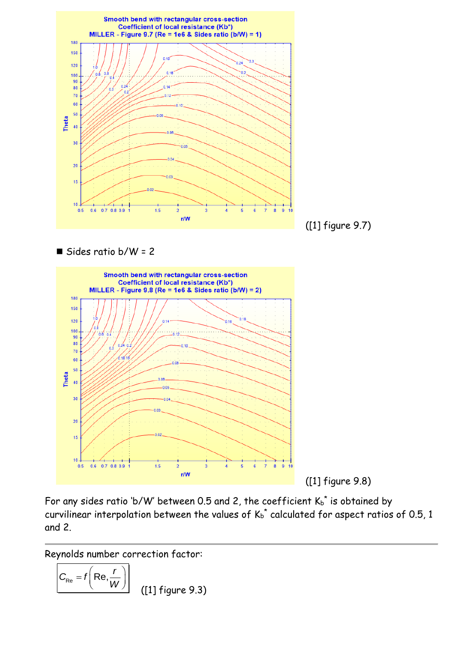

 $\blacksquare$  Sides ratio b/W = 2



([1] figure 9.8)

For any sides ratio 'b/W' between 0.5 and 2, the coefficient  $K_b^*$  is obtained by curvilinear interpolation between the values of  $K_b^*$  calculated for aspect ratios of 0.5, 1 and 2.

Reynolds number correction factor:

$$
C_{\text{Re}} = f\left(\text{Re}, \frac{r}{W}\right)
$$
 (1] figure 9.3)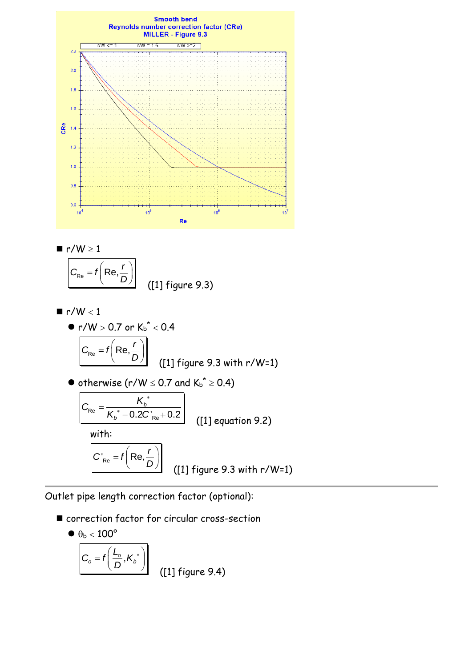

$$
r/W \geq 1
$$

$$
C_{\text{Re}} = f\left(\text{Re}, \frac{r}{D}\right)
$$
 ([1] figure 9.3)

■ r/W < 1  
\n• r/W > 0.7 or K<sub>b</sub><sup>\*</sup> < 0.4  
\n
$$
\frac{C_{Re} = f\left(Re, \frac{r}{D}\right)}{C_{Re} = f\left(Re, \frac{r}{D}\right)}
$$
\n(11) figure 9.3 with r/W=1)  
\n• otherwise (r/W  $\leq$  0.7 and K<sub>b</sub><sup>\*</sup>  $\geq$  0.4)  
\n
$$
\frac{C_{Re} = \frac{K_b^*}{K_b^* - 0.2C_{Re}^* + 0.2}}{C_{Re} = f\left(Re, \frac{r}{D}\right)}
$$
\n(11) figure 9.3 with r/W=1)

Outlet pipe length correction factor (optional):

■ correction factor for circular cross-section

$$
\left|\frac{\theta_{b} < 100^{\circ}}{C_{o} = f\left(\frac{L_{o}}{D}, K_{b}^{*}\right)}\right|
$$
 ([1] figure 9.4)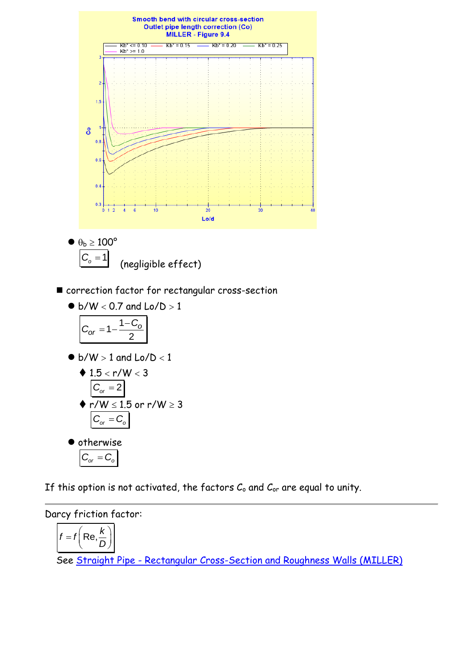

$$
\frac{100}{C_o = 1}
$$
 (negligible effect)

■ correction factor for rectangular cross-section

$$
\bullet\;b/W<0.7\;and\;Lo/D>1
$$

$$
C_{or} = 1 - \frac{1 - C_o}{2}
$$

 $\bullet$  b/W  $> 1$  and Lo/D  $< 1$ 

$$
\begin{aligned}\n\blacklozenge 1.5 < r/W < 3 \\
\hline\n\frac{C_{\text{or}} = 2}{r/W < 1.5 \text{ or } r/W \ge 3} \\
\hline\n\frac{C_{\text{or}} = C_{\text{o}}}{r/W} > 3\n\end{aligned}
$$

$$
\bullet \text{ otherwise} \\ \boxed{C_{or} = C_{o}}
$$

If this option is not activated, the factors  $C_0$  and  $C_{or}$  are equal to unity.

## Darcy friction factor:

$$
f = f\left(\text{Re}, \frac{k}{D}\right)
$$

See Straight Pipe - [Rectangular Cross-Section and Roughness Walls \(MILLER\)](../../Tuyau%20rectiligne/Tuyau%20rectiligne%20-%20Section%20rectangulaire/MILLER%20(roughness%20walls).htm)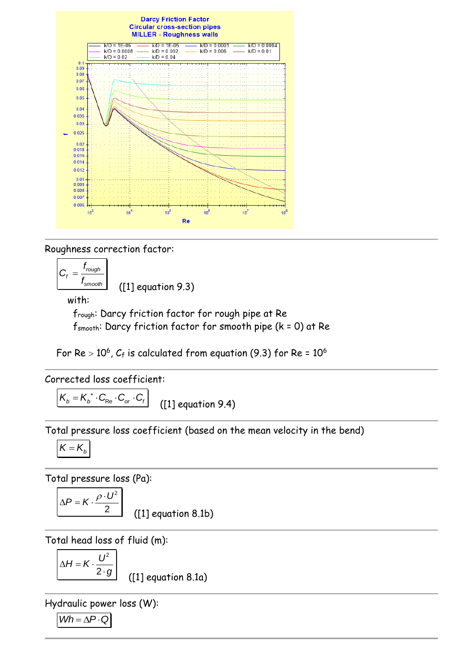

Roughness correction factor:

$$
C_f = \frac{f_{rough}}{f_{smooth}}
$$
 (11) equation 9.3)

with:

frough: Darcy friction factor for rough pipe at Re fsmooth: Darcy friction factor for smooth pipe (k = 0) at Re

For Re  $>$  10 $^6$ ,  $C_{\rm f}$  is calculated from equation (9.3) for Re = 10 $^6$ 

Corrected loss coefficient:

 $K_b = K_b^* \cdot C_{Re} \cdot C_{or} \cdot C_f$ ([1] equation 9.4)

Total pressure loss coefficient (based on the mean velocity in the bend)

$$
K=K_{b}
$$

Total pressure loss (Pa):

$$
\Delta P = K \cdot \frac{\rho \cdot U^2}{2}
$$
 
$$
(1) \text{ eq}
$$

quation  $8.1b)$ 

Total head loss of fluid (m):

$$
\Delta H = K \cdot \frac{U^2}{2 \cdot g}
$$

([1] equation 8.1a)

Hydraulic power loss (W):

$$
Wh = \Delta P \cdot Q
$$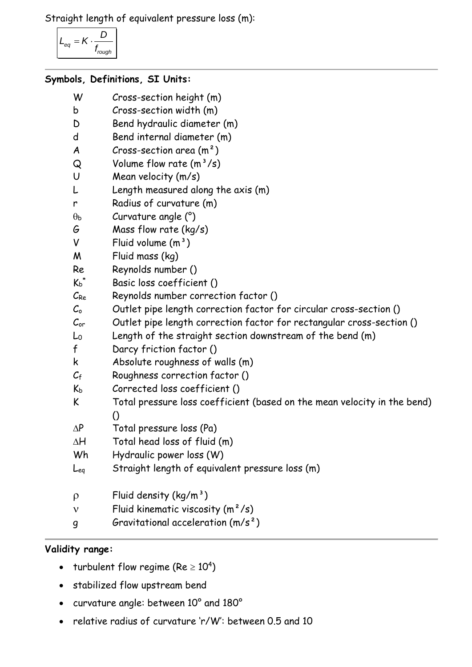Straight length of equivalent pressure loss (m):

$$
L_{eq} = K \cdot \frac{D}{f_{rough}}
$$

### **Symbols, Definitions, SI Units:**

- W Cross-section height (m)
- b Cross-section width (m)
- D Bend hydraulic diameter (m)
- d Bend internal diameter (m)
- $A$  Cross-section area  $(m<sup>2</sup>)$
- $Q$  Volume flow rate  $(m^3/s)$
- U Mean velocity (m/s)
- L Length measured along the axis (m)
- r Radius of curvature (m)
- $\theta_{\rm b}$  Curvature angle (°)
- G Mass flow rate (kg/s)
- $V$  Fluid volume  $(m<sup>3</sup>)$
- M Fluid mass (kg)
- Re Reynolds number ()
- $K_h^*$ Basic loss coefficient ()
- $C_{Re}$  Reynolds number correction factor ()
- $C_0$  Outlet pipe length correction factor for circular cross-section ()
- Cor Outlet pipe length correction factor for rectangular cross-section ()
- L<sup>0</sup> Length of the straight section downstream of the bend (m)
- f Darcy friction factor ()
- k Absolute roughness of walls (m)
- $C_f$  Roughness correction factor ()
- $K_b$  Corrected loss coefficient ()
- K Total pressure loss coefficient (based on the mean velocity in the bend) ()
- $\Delta P$  Total pressure loss (Pa)
- $\Delta H$  Total head loss of fluid (m)
- Wh Hydraulic power loss (W)
- Leq Straight length of equivalent pressure loss (m)
- $\rho$  Fluid density (kg/m<sup>3</sup>)
- $v$  Fluid kinematic viscosity  $(m^2/s)$
- g Gravitational acceleration (m/s²)

### **Validity range:**

- turbulent flow regime (Re  $\geq 10^4$ )
- stabilized flow upstream bend
- curvature angle: between 10° and 180°
- relative radius of curvature 'r/W': between 0.5 and 10